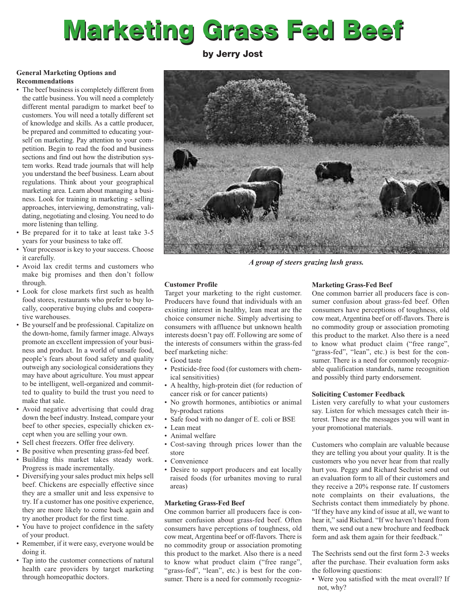# **Marketing Grass Fed Beef**

**by Jerry Jost**

# **General Marketing Options and Recommendations**

- The beef business is completely different from the cattle business. You will need a completely different mental paradigm to market beef to customers. You will need a totally different set of knowledge and skills. As a cattle producer, be prepared and committed to educating yourself on marketing. Pay attention to your competition. Begin to read the food and business sections and find out how the distribution system works. Read trade journals that will help you understand the beef business. Learn about regulations. Think about your geographical marketing area. Learn about managing a business. Look for training in marketing - selling approaches, interviewing, demonstrating, validating, negotiating and closing. You need to do more listening than telling.
- Be prepared for it to take at least take 3-5 years for your business to take off.
- Your processor is key to your success. Choose it carefully.
- Avoid lax credit terms and customers who make big promises and then don't follow through.
- Look for close markets first such as health food stores, restaurants who prefer to buy locally, cooperative buying clubs and cooperative warehouses.
- Be yourself and be professional. Capitalize on the down-home, family farmer image. Always promote an excellent impression of your business and product. In a world of unsafe food, people's fears about food safety and quality outweigh any sociological considerations they may have about agriculture. You must appear to be intelligent, well-organized and committed to quality to build the trust you need to make that sale.
- Avoid negative advertising that could drag down the beef industry. Instead, compare your beef to other species, especially chicken except when you are selling your own.
- Sell chest freezers. Offer free delivery.
- Be positive when presenting grass-fed beef.
- Building this market takes steady work. Progress is made incrementally.
- Diversifying your sales product mix helps sell beef. Chickens are especially effective since they are a smaller unit and less expensive to try. If a customer has one positive experience, they are more likely to come back again and try another product for the first time.
- You have to project confidence in the safety of your product.
- Remember, if it were easy, everyone would be doing it.
- Tap into the customer connections of natural health care providers by target marketing through homeopathic doctors.



*A group of steers grazing lush grass.*

# **Customer Profile**

Target your marketing to the right customer. Producers have found that individuals with an existing interest in healthy, lean meat are the choice consumer niche. Simply advertising to consumers with affluence but unknown health interests doesn't pay off. Following are some of the interests of consumers within the grass-fed beef marketing niche:

- Good taste
- Pesticide-free food (for customers with chemical sensitivities)
- A healthy, high-protein diet (for reduction of cancer risk or for cancer patients)
- No growth hormones, antibiotics or animal by-product rations
- Safe food with no danger of E. coli or BSE
- Lean meat
- Animal welfare
- Cost-saving through prices lower than the store
- Convenience
- Desire to support producers and eat locally raised foods (for urbanites moving to rural areas)

# **Marketing Grass-Fed Beef**

One common barrier all producers face is consumer confusion about grass-fed beef. Often consumers have perceptions of toughness, old cow meat, Argentina beef or off-flavors. There is no commodity group or association promoting this product to the market. Also there is a need to know what product claim ("free range", "grass-fed", "lean", etc.) is best for the consumer. There is a need for commonly recogniz-

# **Marketing Grass-Fed Beef**

One common barrier all producers face is consumer confusion about grass-fed beef. Often consumers have perceptions of toughness, old cow meat, Argentina beef or off-flavors. There is no commodity group or association promoting this product to the market. Also there is a need to know what product claim ("free range", "grass-fed", "lean", etc.) is best for the consumer. There is a need for commonly recognizable qualification standards, name recognition and possibly third party endorsement.

# **Soliciting Customer Feedback**

Listen very carefully to what your customers say. Listen for which messages catch their interest. These are the messages you will want in your promotional materials.

Customers who complain are valuable because they are telling you about your quality. It is the customers who you never hear from that really hurt you. Peggy and Richard Sechrist send out an evaluation form to all of their customers and they receive a 20% response rate. If customers note complaints on their evaluations, the Sechrists contact them immediately by phone. "If they have any kind of issue at all, we want to hear it," said Richard. "If we haven't heard from them, we send out a new brochure and feedback form and ask them again for their feedback."

The Sechrists send out the first form 2-3 weeks after the purchase. Their evaluation form asks the following questions:

• Were you satisfied with the meat overall? If not, why?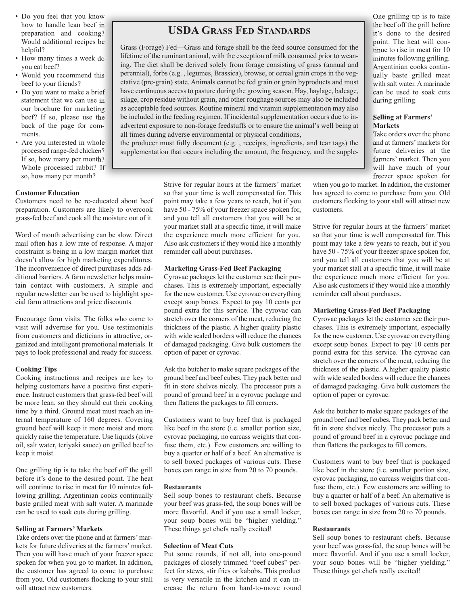- Do you feel that you know how to handle lean beef in preparation and cooking? Would additional recipes be helpful?
- How many times a week do you eat beef?
- Would you recommend this beef to your friends?
- Do you want to make a brief statement that we can use in our brochure for marketing beef? If so, please use the back of the page for comments.
- Are you interested in whole processed range-fed chicken? If so, how many per month? Whole processed rabbit? If so, how many per month?

#### **Customer Education**

Customers need to be re-educated about beef preparation. Customers are likely to overcook grass-fed beef and cook all the moisture out of it.

Word of mouth advertising can be slow. Direct mail often has a low rate of response. A major constraint is being in a low margin market that doesn't allow for high marketing expenditures. The inconvenience of direct purchases adds additional barriers. A farm newsletter helps maintain contact with customers. A simple and regular newsletter can be used to highlight special farm attractions and price discounts.

Encourage farm visits. The folks who come to visit will advertise for you. Use testimonials from customers and dieticians in attractive, organized and intelligent promotional materials. It pays to look professional and ready for success.

#### **Cooking Tips**

Cooking instructions and recipes are key to helping customers have a positive first experience. Instruct customers that grass-fed beef will be more lean, so they should cut their cooking time by a third. Ground meat must reach an internal temperature of 160 degrees. Covering ground beef will keep it more moist and more quickly raise the temperature. Use liquids (olive oil, salt water, teriyaki sauce) on grilled beef to keep it moist.

One grilling tip is to take the beef off the grill before it's done to the desired point. The heat will continue to rise in meat for 10 minutes following grilling. Argentinian cooks continually baste grilled meat with salt water. A marinade can be used to soak cuts during grilling.

#### **Selling at Farmers' Markets**

Take orders over the phone and at farmers'markets for future deliveries at the farmers' market. Then you will have much of your freezer space spoken for when you go to market. In addition, the customer has agreed to come to purchase from you. Old customers flocking to your stall will attract new customers.

# **USDA GRASS FED STANDARDS**

Grass (Forage) Fed—Grass and forage shall be the feed source consumed for the lifetime of the ruminant animal, with the exception of milk consumed prior to weaning. The diet shall be derived solely from forage consisting of grass (annual and perennial), forbs (e.g. , legumes, Brassica), browse, or cereal grain crops in the vegetative (pre-grain) state. Animals cannot be fed grain or grain byproducts and must have continuous access to pasture during the growing season. Hay, haylage, baleage, silage, crop residue without grain, and other roughage sources may also be included as acceptable feed sources. Routine mineral and vitamin supplementation may also be included in the feeding regimen. If incidental supplementation occurs due to inadvertent exposure to non-forage feedstuffs or to ensure the animal's well being at all times during adverse environmental or physical conditions,

the producer must fully document (e.g. , receipts, ingredients, and tear tags) the supplementation that occurs including the amount, the frequency, and the supple-

> Strive for regular hours at the farmers' market so that your time is well compensated for. This point may take a few years to reach, but if you have 50 - 75% of your freezer space spoken for, and you tell all customers that you will be at your market stall at a specific time, it will make the experience much more efficient for you. Also ask customers if they would like a monthly reminder call about purchases.

#### **Marketing Grass-Fed Beef Packaging**

Cyrovac packages let the customer see their purchases. This is extremely important, especially for the new customer. Use cyrovac on everything except soup bones. Expect to pay 10 cents per pound extra for this service. The cyrovac can stretch over the corners of the meat, reducing the thickness of the plastic. A higher quality plastic with wide sealed borders will reduce the chances of damaged packaging. Give bulk customers the option of paper or cyrovac.

Ask the butcher to make square packages of the ground beef and beef cubes. They pack better and fit in store shelves nicely. The processor puts a pound of ground beef in a cyrovac package and then flattens the packages to fill corners.

Customers want to buy beef that is packaged like beef in the store (i.e. smaller portion size, cyrovac packaging, no carcass weights that confuse them, etc.). Few customers are willing to buy a quarter or half of a beef. An alternative is to sell boxed packages of various cuts. These boxes can range in size from 20 to 70 pounds.

#### **Restaurants**

Sell soup bones to restaurant chefs. Because your beef was grass-fed, the soup bones will be more flavorful. And if you use a small locker, your soup bones will be "higher yielding." These things get chefs really excited!

#### **Selection of Meat Cuts**

Put some rounds, if not all, into one-pound packages of closely trimmed "beef cubes" perfect for stews, stir fries or kabobs. This product is very versatile in the kitchen and it can increase the return from hard-to-move round

One grilling tip is to take the beef off the grill before it's done to the desired point. The heat will continue to rise in meat for 10 minutes following grilling. Argentinian cooks continually baste grilled meat with salt water. Amarinade can be used to soak cuts during grilling.

# **Selling at Farmers' Markets**

Take orders over the phone and at farmers'markets for future deliveries at the farmers' market. Then you will have much of your freezer space spoken for

when you go to market. In addition, the customer has agreed to come to purchase from you. Old customers flocking to your stall will attract new customers.

Strive for regular hours at the farmers' market so that your time is well compensated for. This point may take a few years to reach, but if you have 50 - 75% of your freezer space spoken for, and you tell all customers that you will be at your market stall at a specific time, it will make the experience much more efficient for you. Also ask customers if they would like a monthly reminder call about purchases.

#### **Marketing Grass-Fed Beef Packaging**

Cyrovac packages let the customer see their purchases. This is extremely important, especially for the new customer. Use cyrovac on everything except soup bones. Expect to pay 10 cents per pound extra for this service. The cyrovac can stretch over the corners of the meat, reducing the thickness of the plastic. A higher quality plastic with wide sealed borders will reduce the chances of damaged packaging. Give bulk customers the option of paper or cyrovac.

Ask the butcher to make square packages of the ground beef and beef cubes. They pack better and fit in store shelves nicely. The processor puts a pound of ground beef in a cyrovac package and then flattens the packages to fill corners.

Customers want to buy beef that is packaged like beef in the store (i.e. smaller portion size, cyrovac packaging, no carcass weights that confuse them, etc.). Few customers are willing to buy a quarter or half of a beef. An alternative is to sell boxed packages of various cuts. These boxes can range in size from 20 to 70 pounds.

#### **Restaurants**

Sell soup bones to restaurant chefs. Because your beef was grass-fed, the soup bones will be more flavorful. And if you use a small locker, your soup bones will be "higher yielding." These things get chefs really excited!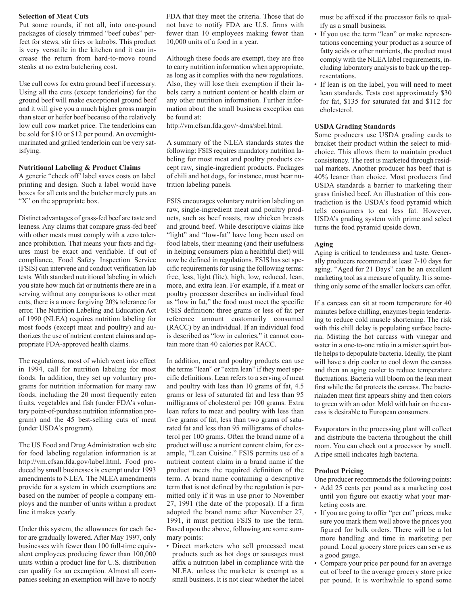#### **Selection of Meat Cuts**

Put some rounds, if not all, into one-pound packages of closely trimmed "beef cubes" perfect for stews, stir fries or kabobs. This product is very versatile in the kitchen and it can increase the return from hard-to-move round steaks at no extra butchering cost.

Use cull cows for extra ground beef if necessary. Using all the cuts (except tenderloins) for the ground beef will make exceptional ground beef and it will give you a much higher gross margin than steer or heifer beef because of the relatively low cull cow market price. The tenderloins can be sold for \$10 or \$12 per pound. An overnightmarinated and grilled tenderloin can be very satisfying.

#### **Nutritional Labeling & Product Claims**

A generic "check off' label saves costs on label printing and design. Such a label would have boxes for all cuts and the butcher merely puts an "X" on the appropriate box.

Distinct advantages of grass-fed beef are taste and leaness. Any claims that compare grass-fed beef with other meats must comply with a zero tolerance prohibition. That means your facts and figures must be exact and verifiable. If out of compliance, Food Safety Inspection Service (FSIS) can intervene and conduct verification lab tests. With standard nutritional labeling in which you state how much fat or nutrients there are in a serving without any comparisons to other meat cuts, there is a more forgiving 20% tolerance for error. The Nutrition Labeling and Education Act of 1990 (NLEA) requires nutrition labeling for most foods (except meat and poultry) and authorizes the use of nutrient content claims and appropriate FDA-approved health claims.

The regulations, most of which went into effect in 1994, call for nutrition labeling for most foods. In addition, they set up voluntary programs for nutrition information for many raw foods, including the 20 most frequently eaten fruits, vegetables and fish (under FDA's voluntary point-of-purchase nutrition information program) and the 45 best-selling cuts of meat (under USDA's program).

The US Food and Drug Administration web site for food labeling regulation information is at http://vm.cfsan.fda.gov/label.html. Food produced by small businesses is exempt under 1993 amendments to NLEA. The NLEA amendments provide for a system in which exemptions are based on the number of people a company employs and the number of units within a product line it makes yearly.

Under this system, the allowances for each factor are gradually lowered. After May 1997, only businesses with fewer than 100 full-time equivalent employees producing fewer than 100,000 units within a product line for U.S. distribution can qualify for an exemption. Almost all companies seeking an exemption will have to notify FDA that they meet the criteria. Those that do not have to notify FDA are U.S. firms with fewer than 10 employees making fewer than 10,000 units of a food in a year.

Although these foods are exempt, they are free to carry nutrition information when appropriate, as long as it complies with the new regulations. Also, they will lose their exemption if their labels carry a nutrient content or health claim or any other nutrition information. Further information about the small business exception can be found at:

http://vm.cfsan.fda.gov/~dms/sbel.html.

A summary of the NLEA standards states the following: FSIS requires mandatory nutrition labeling for most meat and poultry products except raw, single-ingredient products. Packages of chili and hot dogs, for instance, must bear nutrition labeling panels.

FSIS encourages voluntary nutrition labeling on raw, single-ingredient meat and poultry products, such as beef roasts, raw chicken breasts and ground beef. While descriptive claims like "light" and "low-fat" have long been used on food labels, their meaning (and their usefulness in helping consumers plan a healthful diet) will now be defined in regulations. FSIS has set specific requirements for using the following terms: free, less, light (lite), high, low, reduced, lean, more, and extra lean. For example, if a meat or poultry processor describes an individual food as "low in fat," the food must meet the specific FSIS definition: three grams or less of fat per reference amount customarily consumed (RACC) by an individual. If an individual food is described as "low in calories," it cannot contain more than 40 calories per RACC.

In addition, meat and poultry products can use the terms "lean" or "extra lean" if they meet specific definitions. Lean refers to a serving of meat and poultry with less than 10 grams of fat, 4.5 grams or less of saturated fat and less than 95 milligrams of cholesterol per 100 grams. Extra lean refers to meat and poultry with less than five grams of fat, less than two grams of saturated fat and less than 95 milligrams of cholesterol per 100 grams. Often the brand name of a product will use a nutrient content claim, for example, "Lean Cuisine." FSIS permits use of a nutrient content claim in a brand name if the product meets the required definition of the term. A brand name containing a descriptive term that is not defined by the regulation is permitted only if it was in use prior to November 27, 1991 (the date of the proposal). If a firm adopted the brand name after November 27, 1991, it must petition FSIS to use the term. Based upon the above, following are some summary points:

• Direct marketers who sell processed meat products such as hot dogs or sausages must affix a nutrition label in compliance with the NLEA, unless the marketer is exempt as a small business. It is not clear whether the label

must be affixed if the processor fails to qualify as a small business.

- If you use the term "lean" or make representations concerning your product as a source of fatty acids or other nutrients, the product must comply with the NLEA label requirements, including laboratory analysis to back up the representations.
- If lean is on the label, you will need to meet lean standards. Tests cost approximately \$30 for fat, \$135 for saturated fat and \$112 for cholesterol.

#### **USDA Grading Standards**

Some producers use USDA grading cards to bracket their product within the select to midchoice. This allows them to maintain product consistency. The rest is marketed through residual markets. Another producer has beef that is 40% leaner than choice. Most producers find USDA standards a barrier to marketing their grass finished beef. An illustration of this contradiction is the USDA's food pyramid which tells consumers to eat less fat. However, USDA's grading system with prime and select turns the food pyramid upside down.

#### **Aging**

Aging is critical to tenderness and taste. Generally producers recommend at least 7-10 days for aging. "Aged for 21 Days" can be an excellent marketing tool as a measure of quality. It is something only some of the smaller lockers can offer.

If a carcass can sit at room temperature for 40 minutes before chilling, enzymes begin tenderizing to reduce cold muscle shortening. The risk with this chill delay is populating surface bacteria. Misting the hot carcass with vinegar and water in a one-to-one ratio in a mister squirt bottle helps to depopulate bacteria. Ideally, the plant will have a drip cooler to cool down the carcass and then an aging cooler to reduce temperature fluctuations. Bacteria will bloom on the lean meat first while the fat protects the carcass. The bacterialaden meat first appears shiny and then colors to green with an odor. Mold with hair on the carcass is desirable to European consumers.

Evaporators in the processing plant will collect and distribute the bacteria throughout the chill room. You can check out a processor by smell. A ripe smell indicates high bacteria.

#### **Product Pricing**

One producer recommends the following points:

- Add 25 cents per pound as a marketing cost until you figure out exactly what your marketing costs are.
- If you are going to offer "per cut" prices, make sure you mark them well above the prices you figured for bulk orders. There will be a lot more handling and time in marketing per pound. Local grocery store prices can serve as a good gauge.
- Compare your price per pound for an average cut of beef to the average grocery store price per pound. It is worthwhile to spend some